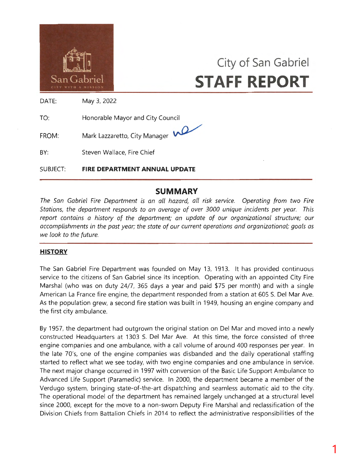

# **City of San Gabriel STAFF REPORT**

DATE: May 3, 2022

TO: Honorable Mayor and City Council

FROM: Mark Lazzaretto, City Manager



BY: Steven Wallace, Fire Chief

SUBJECT: **FIRE DEPARTMENT ANNUAL UPDATE** 

## **SUMMARY**

*The San Gabriel Fire Department is an all hazard, all risk service. Operating from two Fire Stations, the department responds to an average of over 3000 unique incidents per year. This report contains a history of the department; an update of our organizational structure; our accomplishments in the past year; the state of our current operations and organizational; goals as we look to the future.* 

## **HISTORY**

The San Gabriel Fire Department was founded on May 13, 1913. It has provided continuous service to the citizens of San Gabriel since its inception. Operating with an appointed City Fire Marshal (who was on duty 24/7, 365 days a year and paid \$75 per month) and with a single American La France fire engine, the department responded from a station at 605 S. Del Mar Ave. As the population grew, a second fire station was built in 1949, housing an engine company and the first city ambulance.

By 1957, the department had outgrown the original station on Del Mar and moved into a newly constructed Headquarters at 1303 S. Del Mar Ave. At this time, the force consisted of three engine companies and one ambulance, with a call volume of around 400 responses per year. In the late 70's, one of the engine companies was disbanded and the daily operational staffing started to reflect what we see today, with two engine companies and one ambulance in service. The next major change occurred in 1997 with conversion of the Basic Life Support Ambulance to Advanced Life Support (Paramedic) service. In 2000, the department became a member of the Verdugo system, bringing state-of-the-art dispatching and seamless automatic aid to the city. The operational model of the department has remained largely unchanged at a structural level since 2000, except for the move to a non-sworn Deputy Fire Marshal and reclassification of the Division Chiefs from Battalion Chiefs in 2014 to reflect the administrative responsibilities of the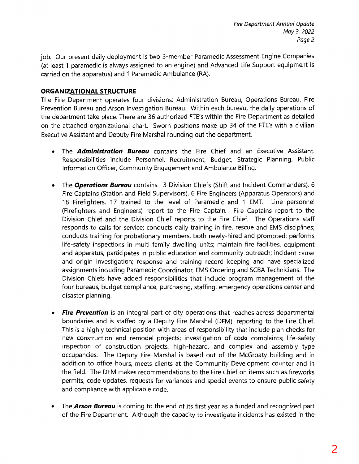job. Our present daily deployment is two 3-member Paramedic Assessment Engine Companies (at least 1 paramedic is always assigned to an engine) and Advanced Life Support equipment is carried on the apparatus) and 1 Paramedic Ambulance (RA).

## **ORGANIZATIONAL STRUCTURE**

The Fire Department operates four divisions: Administration Bureau, Operations Bureau, Fire Prevention Bureau and Arson Investigation Bureau. Within each bureau, the daily operations of the department take place. There are 36 authorized FTE's within the Fire Department as detailed on the attached organizational chart. Sworn positions make up 34 of the FTE's with a civilian Executive Assistant and Deputy Fire Marshal rounding out the department.

- The *Administration Bureau* contains the Fire Chief and an Executive Assistant. Responsibilities include Personnel, Recruitment, Budget, Strategic Planning, Public Information Officer, Community Engagement and Ambulance Billing.
- The *Operations Bureau* contains: 3 Division Chiefs (Shift and Incident Commanders), 6 Fire Captains (Station and Field Supervisors), 6 Fire Engineers (Apparatus Operators) and 18 Firefighters, 17 trained to the level of Paramedic and 1 EMT. Line personnel (Firefighters and Engineers) report to the Fire Captain. Fire Captains report to the Division Chief and the Division Chief reports to the Fire Chief. The Operations staff responds to calls for service; conducts daily training in fire, rescue and EMS disciplines; conducts training for probationary members, both newly-hired and promoted; performs life-safety inspections in multi-family dwelling units; maintain fire facilities, equipment and apparatus, participates in public education and community outreach; incident cause and origin investigation; response and training record keeping and have specialized assignments including Paramedic Coordinator, EMS Ordering and SCBA Technicians. The Division Chiefs have added responsibilities that include program management of the four bureaus, budget compliance, purchasing, staffing, emergency operations center and disaster planning.
- *Fire Prevention* is an integral part of city operations that reaches across departmental boundaries and is staffed by a Deputy Fire Marshal (DFM), reporting to the Fire Chief. This is a highly technical position with areas of responsibility that include plan checks for new construction and remodel projects; investigation of code complaints; life-safety inspection of construction projects, high-hazard, and complex and assembly type occupancies. The Deputy Fire Marshal is based out of the McGroaty building and in addition to office hours, meets clients at the Community Development counter and in the field. The DFM makes recommendations to the Fire Chief on items such as fireworks permits, code updates, requests for variances and special events to ensure public safety and compliance with applicable code.
- The *Arson Bureau* is coming to the end of its first year as a funded and recognized part of the Fire Department. Although the capacity to investigate incidents has existed in the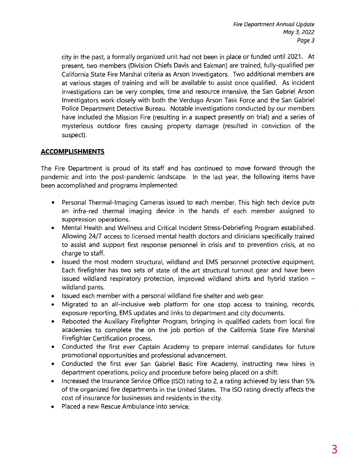city in the past, a formally organized unit had not been in place or funded until 2021. At present, two members (Division Chiefs Davis and Eakman) are trained, fully-qualified per California State Fire Marshal criteria as Arson Investigators. Two additional members are at various stages of training and will be available to assist once qualified. As incident investigations can be very complex, time and resource intensive, the San Gabriel Arson Investigators work closely with both the Verdugo Arson Task Force and the San Gabriel Police Department Detective Bureau. Notable investigations conducted by our members have included the Mission Fire (resulting in a suspect presently on trial) and a series of mysterious outdoor fires causing property damage (resulted. in conviction of the suspect).

## **ACCOMPLISHMENTS**

The Fire Department is proud of its staff and has continued to move forward through the pandemic and into the post-pandemic landscape. In the last year, the following items have been accomplished and programs implemented:

- Personal Thermal-Imaging Cameras issued to each member. This high tech device puts an infra-red thermal imaging device in the hands of each member assigned to suppression operations.
- Mental Health and Wellness and Critical Incident Stress-Debriefing Program established. Allowing 24/7 access to licensed mental health doctors and clinicians specifically trained to assist and support first response personnel in crisis and to prevention crisis, at no charge to staff.
- Issued the most modern structural, wildland and EMS personnel protective equipment. Each firefighter has two sets of state of the art structural turnout gear and have been issued wildland respiratory protection, improved wildland shirts and hybrid station  $$ wildland pants.
- Issued each member with a personal wildland fire shelter and web gear.
- Migrated to an all-inclusive web platform for one stop access to training, records, exposure reporting, EMS updates and links to department and city documents.
- Rebooted the Auxiliary Firefighter Program, bringing in qualified cadets from local fire academies to complete the on the job portion of the California State Fire Marshal Firefighter Certification process.
- Conducted the first ever Captain Academy to prepare internal candidates for future promotional opportunities and professional advancement.
- Conducted the first ever San Gabriel Basic Fire Academy, instructing new hires in department operations, policy and procedure before being placed on a shift.
- Increased the Insurance Service Office (ISO) rating to 2, a rating achieved by less than 5% of the organized fire departments in the United States. The ISO rating directly affects the cost of insurance for businesses and residents in the city.
- Placed a new Rescue Ambulance into service.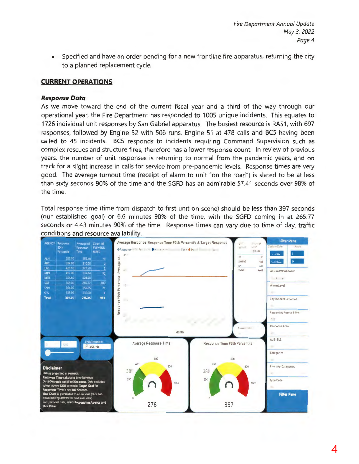Specified and have an order pending for a new frontline fire apparatus, returning the city  $\bullet$ to a planned replacement cycle.

## **CURRENT OPERATIONS**

#### **Response Data**

As we move toward the end of the current fiscal year and a third of the way through our operational year, the Fire Department has responded to 1005 unique incidents. This equates to 1726 individual unit responses by San Gabriel apparatus. The busiest resource is RA51, with 697 responses, followed by Engine 52 with 506 runs, Engine 51 at 478 calls and BC5 having been called to 45 incidents. BC5 responds to incidents requiring Command Supervision such as complex rescues and structure fires, therefore has a lower response count. In review of previous years, the number of unit responses is returning to normal from the pandemic years, and on track for a slight increase in calls for service from pre-pandemic levels. Response times are very good. The average turnout time (receipt of alarm to unit "on the road") is slated to be at less than sixty seconds 90% of the time and the SGFD has an admirable 57.41 seconds over 98% of the time.

Total response time (time from dispatch to first unit on scene) should be less than 397 seconds (our established goal) or 6.6 minutes 90% of the time, with the SGFD coming in at 265.77 seconds or 4.43 minutes 90% of the time. Response times can vary due to time of day, traffic conditions and resource availability.

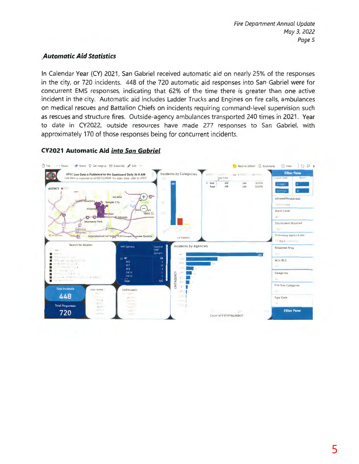## **Automatic Aid Statistics**

In Calendar Year (CY) 2021, San Gabriel received automatic aid on nearly 25% of the responses in the city, or 720 incidents. 448 of the 720 automatic aid responses into San Gabriel were for concurrent EMS responses, indicating that 62% of the time there is greater than one active incident in the city. Automatic aid includes Ladder Trucks and Engines on fire calls, ambulances on medical rescues and Battalion Chiefs on incidents requiring command-level supervision such as rescues and structure fires. Outside-agency ambulances transported 240 times in 2021. Year to date in CY2022, outside resources have made 277 responses to San Gabriel, with approximately 170 of those responses being for concurrent incidents.

## **CY2021 Automatic Aid into San Gabriel**

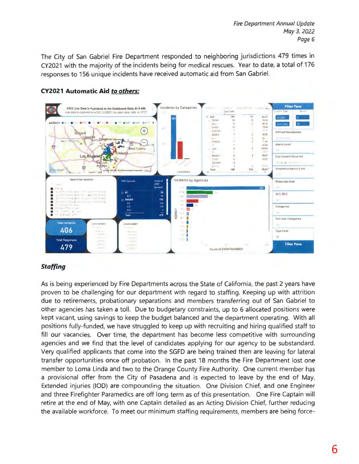The City of San Gabriel Fire Department responded to neighboring jurisdictions 479 times in CY2021 with the majority of the incidents being for medical rescues. Year to date, a total of 176 responses to 156 unique incidents have received automatic aid from San Gabriel.



## **CY2021 Automatic Aid to others:**

## **Staffing**

As is being experienced by Fire Departments across the State of California, the past 2 years have proven to be challenging for our department with regard to staffing. Keeping up with attrition due to retirements, probationary separations and members transferring out of San Gabriel to other agencies has taken a toll. Due to budgetary constraints, up to 6 allocated positions were kept vacant, using savings to keep the budget balanced and the department operating. With all positions fully-funded, we have struggled to keep up with recruiting and hiring qualified staff to fill our vacancies. Over time, the department has become less competitive with surrounding agencies and we find that the level of candidates applying for our agency to be substandard. Very qualified applicants that come into the SGFD are being trained then are leaving for lateral transfer opportunities once off probation. In the past 18 months the Fire Department lost one member to Loma Linda and two to the Orange County Fire Authority. One current member has a provisional offer from the City of Pasadena and is expected to leave by the end of May. Extended injuries (IOD) are compounding the situation. One Division Chief, and one Engineer and three Firefighter Paramedics are off long term as of this presentation. One Fire Captain will retire at the end of May, with one Captain detailed as an Acting Division Chief, further reducing the available workforce. To meet our minimum staffing requirements, members are being force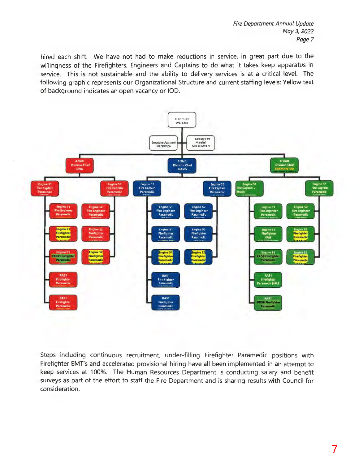hired each shift. We have not had to make reductions in service, in great part due to the willingness of the Firefighters, Engineers and Captains to do what it takes keep apparatus in service. This is not sustainable and the ability to delivery services is at a critical level. The following graphic represents our Organizational Structure and current staffing levels: Yellow text of background indicates an open vacancy or IOD.



Steps including continuous recruitment, under-filling Firefighter Paramedic positions with Firefighter EMT's and accelerated provisional hiring have all been implemented in an attempt to keep services at 100%. The Human Resources Department is conducting salary and benefit surveys as part of the effort to staff the Fire Department and is sharing results with Council for consideration.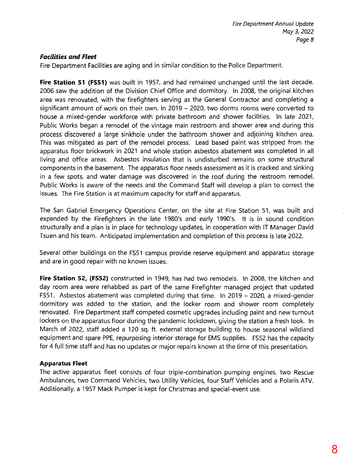## *Facilities and Fleet*

Fire Department Facilities are aging and in similar condition to the Police Department.

**Fire Station 51 (FS51)** was built in 1957, and had remained unchanged until the last decade. 2006 saw the addition of the Division Chief Office and dormitory. In 2008, the original kitchen area was renovated, with the firefighters serving as the General Contractor and completing a significant amount of work on their own. In 2019 - 2020, two dorms rooms were converted to house a mixed-gender workforce with private bathroom and shower facilities. In late 2021, Public Works began a remodel of the vintage main restroom and shower area and during this process discovered a large sinkhole under the bathroom shower and adjoining kitchen area. This was mitigated as part of the remodel process. Lead based paint was stripped from the apparatus floor brickwork in 2021 and whole station asbestos abatement was completed in all living and office areas. Asbestos insulation that is undisturbed remains on some structural components in the basement. The apparatus floor needs assessment as it is cracked and sinking in a few spots, and water damage was discovered in the roof during the restroom remodel. Public Works is aware of the needs and the Command Staff will develop a plan to correct the issues. The Fire Station is at maximum capacity for staff and apparatus.

The San Gabriel Emergency Operations Center, on the site at Fire Station 51, was built and expanded by the Firefighters in the late 1980's and early 1990's. It is in sound condition structurally and a plan is in place for technology updates, in cooperation with IT Manager David Tsuen and his team. Anticipated implementation and completion of this process is late 2022.

Several other buildings on the FS51 campus provide reserve equipment and apparatus storage and are in good repair with no known issues.

**Fire Station** 52, **(FS52)** constructed in 1949, has had two remodels. In 2008, the kitchen and day room area were rehabbed as part of the same Firefighter managed project that updated FS51. Asbestos abatement was completed during that time. In 2019 - 2020, a mixed-gender dormitory was added to the station, and the locker room and shower room completely renovated. Fire Department staff competed cosmetic upgrades including paint and new turnout lockers on the apparatus floor during the pandemic lockdown, giving the station a fresh look. In March of 2022, staff added a 120 sq. ft. external storage building to house seasonal wildland equipment and spare PPE, repurposing interior storage for EMS supplies. FS52 has the capacity for 4 full time staff and has no updates or major repairs known at the time of this presentation.

#### **Apparatus Fleet**

The active apparatus fleet consists of four triple-combination pumping engines, two Rescue Ambulances, two Command Vehicles, two Utility Vehicles, four Staff Vehicles and a Polaris ATV. Additionally, a 1957 Mack Pumper is kept for Christmas and special-event use.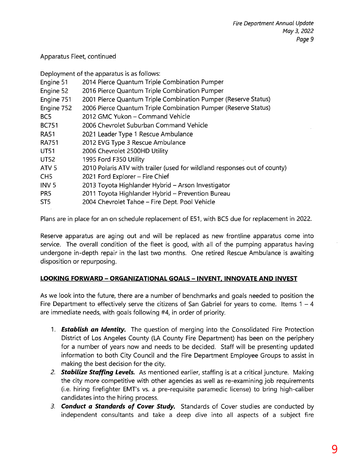## Apparatus Fleet, continued

Deployment of the apparatus is as follows:

| Engine 51        | 2014 Pierce Quantum Triple Combination Pumper                             |  |
|------------------|---------------------------------------------------------------------------|--|
| Engine 52        | 2016 Pierce Quantum Triple Combination Pumper                             |  |
| Engine 751       | 2001 Pierce Quantum Triple Combination Pumper (Reserve Status)            |  |
| Engine 752       | 2006 Pierce Quantum Triple Combination Pumper (Reserve Status)            |  |
| BC5              | 2012 GMC Yukon - Command Vehicle                                          |  |
| <b>BC751</b>     | 2006 Chevrolet Suburban Command Vehicle                                   |  |
| <b>RA51</b>      | 2021 Leader Type 1 Rescue Ambulance                                       |  |
| <b>RA751</b>     | 2012 EVG Type 3 Rescue Ambulance                                          |  |
| <b>UT51</b>      | 2006 Chevrolet 2500HD Utility                                             |  |
| <b>UT52</b>      | 1995 Ford F350 Utility                                                    |  |
| ATV <sub>5</sub> | 2010 Polaris ATV with trailer (used for wildland responses out of county) |  |
| CH <sub>5</sub>  | 2021 Ford Explorer - Fire Chief                                           |  |
| INV <sub>5</sub> | 2013 Toyota Highlander Hybrid - Arson Investigator                        |  |
| PR <sub>5</sub>  | 2011 Toyota Highlander Hybrid - Prevention Bureau                         |  |
| ST <sub>5</sub>  | 2004 Chevrolet Tahoe - Fire Dept. Pool Vehicle                            |  |
|                  |                                                                           |  |

Plans are in place for an on schedule replacement of E51, with BC5 due for replacement in 2022.

Reserve apparatus are aging out and will be replaced as new frontline apparatus come into service. The overall condition of the fleet is good, with all of the pumping apparatus having undergone in-depth repair in the last two months. One retired Rescue Ambulance is awaiting disposition or repurposing.

## **LOOKING FORWARD - ORGANIZATIONAL GOALS - INVENT. INNOVATE AND INVEST**

As we look into the future, there are a number of benchmarks and goals needed to position the Fire Department to effectively serve the citizens of San Gabriel for years to come. Items  $1 - 4$ are immediate needs, with goals following #4, in order of priority.

- 1. *Establish an Identity.* The question of merging into the Consolidated Fire Protection District of Los Angeles County (LA County Fire Department) has been on the periphery for a number of years now and needs to be decided. Staff will be presenting updated information to both City Council and the Fire Department Employee Groups to assist in making the best decision for the city.
- *2. Stabilize Staffing Levels.* As mentioned earlier, staffing is at a critical juncture. Making the city more competitive with other agencies as well as re-examining job requirements (i.e. hiring firefighter EMT's vs. a pre-requisite paramedic license) to bring high-caliber candidates into the hiring process.
- *3. Conduct a Standards of Cover Study.* Standards of Cover studies are conducted by independent consultants and take a deep dive into all aspects of a subject fire